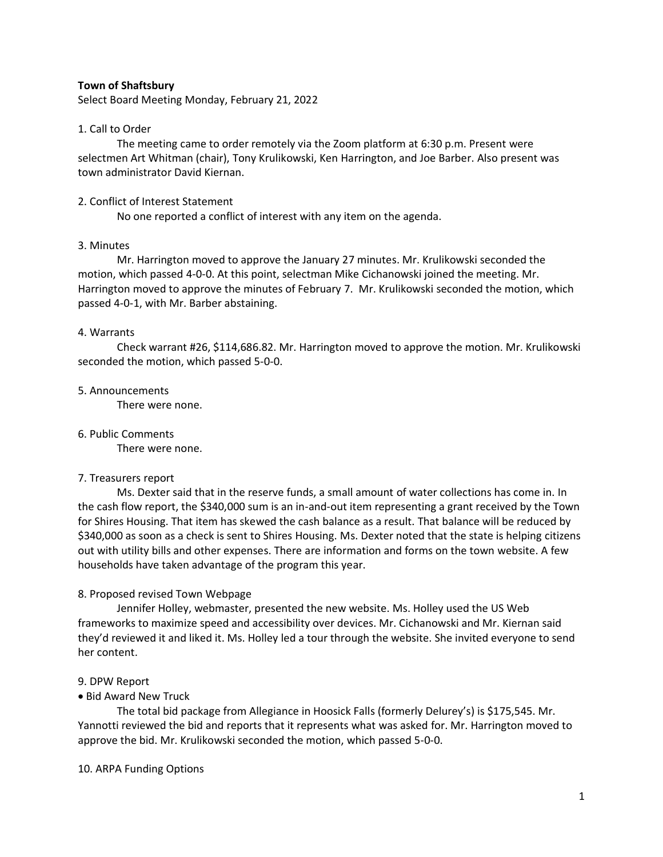### **Town of Shaftsbury**

Select Board Meeting Monday, February 21, 2022

## 1. Call to Order

The meeting came to order remotely via the Zoom platform at 6:30 p.m. Present were selectmen Art Whitman (chair), Tony Krulikowski, Ken Harrington, and Joe Barber. Also present was town administrator David Kiernan.

# 2. Conflict of Interest Statement

No one reported a conflict of interest with any item on the agenda.

# 3. Minutes

Mr. Harrington moved to approve the January 27 minutes. Mr. Krulikowski seconded the motion, which passed 4-0-0. At this point, selectman Mike Cichanowski joined the meeting. Mr. Harrington moved to approve the minutes of February 7. Mr. Krulikowski seconded the motion, which passed 4-0-1, with Mr. Barber abstaining.

## 4. Warrants

Check warrant #26, \$114,686.82. Mr. Harrington moved to approve the motion. Mr. Krulikowski seconded the motion, which passed 5-0-0.

## 5. Announcements

There were none.

# 6. Public Comments

There were none.

# 7. Treasurers report

Ms. Dexter said that in the reserve funds, a small amount of water collections has come in. In the cash flow report, the \$340,000 sum is an in-and-out item representing a grant received by the Town for Shires Housing. That item has skewed the cash balance as a result. That balance will be reduced by \$340,000 as soon as a check is sent to Shires Housing. Ms. Dexter noted that the state is helping citizens out with utility bills and other expenses. There are information and forms on the town website. A few households have taken advantage of the program this year.

# 8. Proposed revised Town Webpage

Jennifer Holley, webmaster, presented the new website. Ms. Holley used the US Web frameworks to maximize speed and accessibility over devices. Mr. Cichanowski and Mr. Kiernan said they'd reviewed it and liked it. Ms. Holley led a tour through the website. She invited everyone to send her content.

#### 9. DPW Report

# • Bid Award New Truck

The total bid package from Allegiance in Hoosick Falls (formerly Delurey's) is \$175,545. Mr. Yannotti reviewed the bid and reports that it represents what was asked for. Mr. Harrington moved to approve the bid. Mr. Krulikowski seconded the motion, which passed 5-0-0.

#### 10. ARPA Funding Options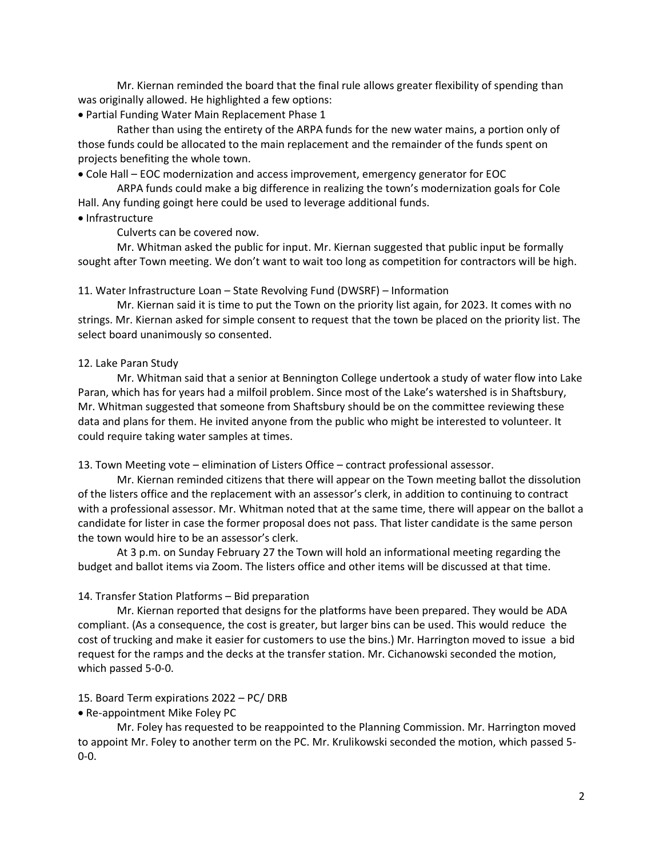Mr. Kiernan reminded the board that the final rule allows greater flexibility of spending than was originally allowed. He highlighted a few options:

• Partial Funding Water Main Replacement Phase 1

Rather than using the entirety of the ARPA funds for the new water mains, a portion only of those funds could be allocated to the main replacement and the remainder of the funds spent on projects benefiting the whole town.

• Cole Hall – EOC modernization and access improvement, emergency generator for EOC

ARPA funds could make a big difference in realizing the town's modernization goals for Cole Hall. Any funding goingt here could be used to leverage additional funds.

#### • Infrastructure

Culverts can be covered now.

Mr. Whitman asked the public for input. Mr. Kiernan suggested that public input be formally sought after Town meeting. We don't want to wait too long as competition for contractors will be high.

11. Water Infrastructure Loan – State Revolving Fund (DWSRF) – Information

Mr. Kiernan said it is time to put the Town on the priority list again, for 2023. It comes with no strings. Mr. Kiernan asked for simple consent to request that the town be placed on the priority list. The select board unanimously so consented.

#### 12. Lake Paran Study

Mr. Whitman said that a senior at Bennington College undertook a study of water flow into Lake Paran, which has for years had a milfoil problem. Since most of the Lake's watershed is in Shaftsbury, Mr. Whitman suggested that someone from Shaftsbury should be on the committee reviewing these data and plans for them. He invited anyone from the public who might be interested to volunteer. It could require taking water samples at times.

13. Town Meeting vote – elimination of Listers Office – contract professional assessor.

Mr. Kiernan reminded citizens that there will appear on the Town meeting ballot the dissolution of the listers office and the replacement with an assessor's clerk, in addition to continuing to contract with a professional assessor. Mr. Whitman noted that at the same time, there will appear on the ballot a candidate for lister in case the former proposal does not pass. That lister candidate is the same person the town would hire to be an assessor's clerk.

At 3 p.m. on Sunday February 27 the Town will hold an informational meeting regarding the budget and ballot items via Zoom. The listers office and other items will be discussed at that time.

#### 14. Transfer Station Platforms – Bid preparation

Mr. Kiernan reported that designs for the platforms have been prepared. They would be ADA compliant. (As a consequence, the cost is greater, but larger bins can be used. This would reduce the cost of trucking and make it easier for customers to use the bins.) Mr. Harrington moved to issue a bid request for the ramps and the decks at the transfer station. Mr. Cichanowski seconded the motion, which passed 5-0-0.

## 15. Board Term expirations 2022 – PC/ DRB

#### • Re-appointment Mike Foley PC

Mr. Foley has requested to be reappointed to the Planning Commission. Mr. Harrington moved to appoint Mr. Foley to another term on the PC. Mr. Krulikowski seconded the motion, which passed 5- 0-0.